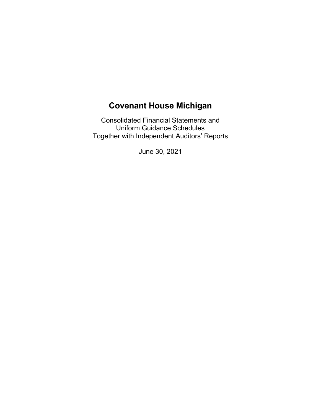Consolidated Financial Statements and Uniform Guidance Schedules Together with Independent Auditors' Reports

June 30, 2021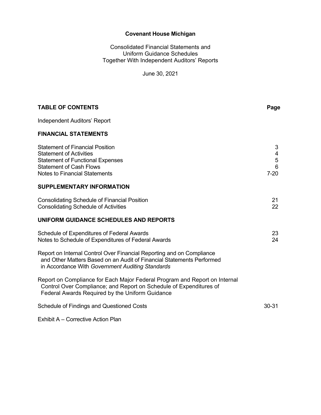Consolidated Financial Statements and Uniform Guidance Schedules Together With Independent Auditors' Reports

June 30, 2021

| <b>TABLE OF CONTENTS</b>                                                                                                                                                                            | Page                       |
|-----------------------------------------------------------------------------------------------------------------------------------------------------------------------------------------------------|----------------------------|
| <b>Independent Auditors' Report</b>                                                                                                                                                                 |                            |
| <b>FINANCIAL STATEMENTS</b>                                                                                                                                                                         |                            |
| <b>Statement of Financial Position</b><br><b>Statement of Activities</b><br><b>Statement of Functional Expenses</b><br><b>Statement of Cash Flows</b><br><b>Notes to Financial Statements</b>       | 3<br>4<br>5<br>6<br>$7-20$ |
| <b>SUPPLEMENTARY INFORMATION</b>                                                                                                                                                                    |                            |
| <b>Consolidating Schedule of Financial Position</b><br><b>Consolidating Schedule of Activities</b>                                                                                                  | 21<br>22                   |
| UNIFORM GUIDANCE SCHEDULES AND REPORTS                                                                                                                                                              |                            |
| Schedule of Expenditures of Federal Awards<br>Notes to Schedule of Expenditures of Federal Awards                                                                                                   | 23<br>24                   |
| Report on Internal Control Over Financial Reporting and on Compliance<br>and Other Matters Based on an Audit of Financial Statements Performed<br>in Accordance With Government Auditing Standards  |                            |
| Report on Compliance for Each Major Federal Program and Report on Internal<br>Control Over Compliance; and Report on Schedule of Expenditures of<br>Federal Awards Required by the Uniform Guidance |                            |
| Schedule of Findings and Questioned Costs                                                                                                                                                           | 30-31                      |
| Exhibit A – Corrective Action Plan                                                                                                                                                                  |                            |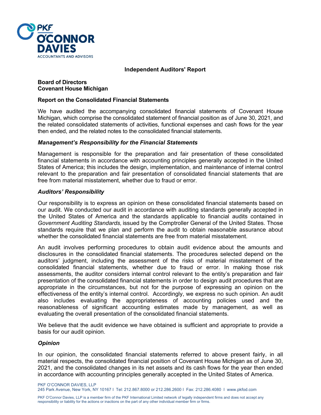

## **Independent Auditors' Report**

# **Board of Directors Covenant House Michigan**

#### **Report on the Consolidated Financial Statements**

We have audited the accompanying consolidated financial statements of Covenant House Michigan, which comprise the consolidated statement of financial position as of June 30, 2021, and the related consolidated statements of activities, functional expenses and cash flows for the year then ended, and the related notes to the consolidated financial statements.

#### *Management's Responsibility for the Financial Statements*

Management is responsible for the preparation and fair presentation of these consolidated financial statements in accordance with accounting principles generally accepted in the United States of America; this includes the design, implementation, and maintenance of internal control relevant to the preparation and fair presentation of consolidated financial statements that are free from material misstatement, whether due to fraud or error.

#### *Auditors' Responsibility*

Our responsibility is to express an opinion on these consolidated financial statements based on our audit. We conducted our audit in accordance with auditing standards generally accepted in the United States of America and the standards applicable to financial audits contained in *Government Auditing Standards,* issued by the Comptroller General of the United States. Those standards require that we plan and perform the audit to obtain reasonable assurance about whether the consolidated financial statements are free from material misstatement.

An audit involves performing procedures to obtain audit evidence about the amounts and disclosures in the consolidated financial statements. The procedures selected depend on the auditors' judgment, including the assessment of the risks of material misstatement of the consolidated financial statements, whether due to fraud or error. In making those risk assessments, the auditor considers internal control relevant to the entity's preparation and fair presentation of the consolidated financial statements in order to design audit procedures that are appropriate in the circumstances, but not for the purpose of expressing an opinion on the effectiveness of the entity's internal control. Accordingly, we express no such opinion. An audit also includes evaluating the appropriateness of accounting policies used and the reasonableness of significant accounting estimates made by management, as well as evaluating the overall presentation of the consolidated financial statements.

We believe that the audit evidence we have obtained is sufficient and appropriate to provide a basis for our audit opinion.

#### *Opinion*

In our opinion, the consolidated financial statements referred to above present fairly, in all material respects, the consolidated financial position of Covenant House Michigan as of June 30, 2021, and the consolidated changes in its net assets and its cash flows for the year then ended in accordance with accounting principles generally accepted in the United States of America.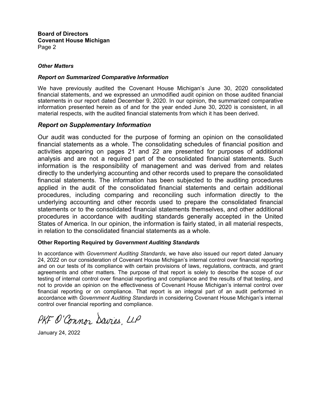**Board of Directors Covenant House Michigan**  Page 2

#### *Other Matters*

#### *Report on Summarized Comparative Information*

We have previously audited the Covenant House Michigan's June 30, 2020 consolidated financial statements, and we expressed an unmodified audit opinion on those audited financial statements in our report dated December 9, 2020. In our opinion, the summarized comparative information presented herein as of and for the year ended June 30, 2020 is consistent, in all material respects, with the audited financial statements from which it has been derived.

## *Report on Supplementary Information*

Our audit was conducted for the purpose of forming an opinion on the consolidated financial statements as a whole. The consolidating schedules of financial position and activities appearing on pages 21 and 22 are presented for purposes of additional analysis and are not a required part of the consolidated financial statements. Such information is the responsibility of management and was derived from and relates directly to the underlying accounting and other records used to prepare the consolidated financial statements. The information has been subjected to the auditing procedures applied in the audit of the consolidated financial statements and certain additional procedures, including comparing and reconciling such information directly to the underlying accounting and other records used to prepare the consolidated financial statements or to the consolidated financial statements themselves, and other additional procedures in accordance with auditing standards generally accepted in the United States of America. In our opinion, the information is fairly stated, in all material respects, in relation to the consolidated financial statements as a whole.

#### **Other Reporting Required by** *Government Auditing Standards*

In accordance with *Government Auditing Standards*, we have also issued our report dated January 24, 2022 on our consideration of Covenant House Michigan's internal control over financial reporting and on our tests of its compliance with certain provisions of laws, regulations, contracts, and grant agreements and other matters. The purpose of that report is solely to describe the scope of our testing of internal control over financial reporting and compliance and the results of that testing, and not to provide an opinion on the effectiveness of Covenant House Michigan's internal control over financial reporting or on compliance. That report is an integral part of an audit performed in accordance with *Government Auditing Standards* in considering Covenant House Michigan's internal control over financial reporting and compliance.

PKF O'Connor Davies, LLP

January 24, 2022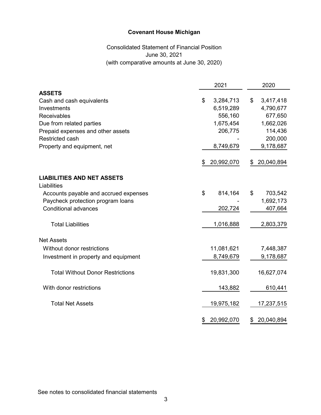# Consolidated Statement of Financial Position June 30, 2021 (with comparative amounts at June 30, 2020)

|                                         | 2021             | 2020             |
|-----------------------------------------|------------------|------------------|
| <b>ASSETS</b>                           |                  |                  |
| Cash and cash equivalents               | \$<br>3,284,713  | \$<br>3,417,418  |
| Investments                             | 6,519,289        | 4,790,677        |
| Receivables                             | 556,160          | 677,650          |
| Due from related parties                | 1,675,454        | 1,662,026        |
| Prepaid expenses and other assets       | 206,775          | 114,436          |
| Restricted cash                         |                  | 200,000          |
| Property and equipment, net             | 8,749,679        | 9,178,687        |
|                                         | 20,992,070<br>\$ | 20,040,894<br>\$ |
| <b>LIABILITIES AND NET ASSETS</b>       |                  |                  |
| Liabilities                             |                  |                  |
| Accounts payable and accrued expenses   | \$<br>814,164    | \$<br>703,542    |
| Paycheck protection program loans       |                  | 1,692,173        |
| <b>Conditional advances</b>             | 202,724          | 407,664          |
| <b>Total Liabilities</b>                | 1,016,888        | 2,803,379        |
| <b>Net Assets</b>                       |                  |                  |
| Without donor restrictions              | 11,081,621       | 7,448,387        |
| Investment in property and equipment    | 8,749,679        | 9,178,687        |
| <b>Total Without Donor Restrictions</b> | 19,831,300       | 16,627,074       |
| With donor restrictions                 | 143,882          | 610,441          |
| <b>Total Net Assets</b>                 | 19,975,182       | 17,237,515       |
|                                         | 20,992,070<br>\$ | 20,040,894<br>\$ |

See notes to consolidated financial statements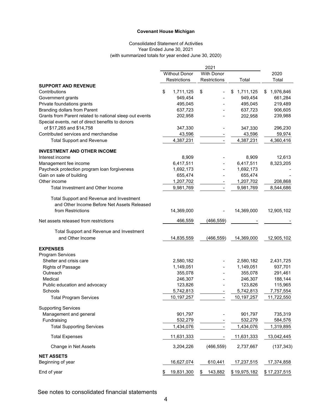#### Consolidated Statement of Activities Year Ended June 30, 2021 (with summarized totals for year ended June 30, 2020)

|                                                                                         | <b>Without Donor</b> |            | With Donor     | 2020            |                 |
|-----------------------------------------------------------------------------------------|----------------------|------------|----------------|-----------------|-----------------|
|                                                                                         | Restrictions         |            | Restrictions   | Total           | Total           |
| <b>SUPPORT AND REVENUE</b>                                                              |                      |            |                |                 |                 |
| Contributions                                                                           | \$                   | 1,711,125  | \$             | 1,711,125<br>\$ | 1,976,846<br>\$ |
| Government grants                                                                       |                      | 949,454    |                | 949,454         | 661,284         |
| Private foundations grants                                                              |                      | 495,045    |                | 495,045         | 219,489         |
| <b>Branding dollars from Parent</b>                                                     |                      | 637,723    |                | 637,723         | 906,605         |
| Grants from Parent related to national sleep out events                                 |                      | 202,958    |                | 202,958         | 239,988         |
| Special events, net of direct benefits to donors                                        |                      |            |                |                 |                 |
| of \$17,265 and \$14,758                                                                |                      | 347,330    |                | 347,330         | 296,230         |
| Contributed services and merchandise                                                    |                      | 43,596     |                | 43,596          | 59,974          |
| <b>Total Support and Revenue</b>                                                        |                      | 4,387,231  | $\blacksquare$ | 4,387,231       | 4,360,416       |
| <b>INVESTMENT AND OTHER INCOME</b>                                                      |                      |            |                |                 |                 |
| Interest income                                                                         |                      | 8,909      |                | 8,909           | 12,613          |
| Management fee income                                                                   |                      | 6,417,511  |                | 6,417,511       | 8,323,205       |
| Paycheck protection program loan forgiveness                                            |                      | 1,692,173  |                | 1,692,173       |                 |
| Gain on sale of building                                                                |                      | 655,474    |                | 655,474         |                 |
| Other income                                                                            |                      | 1,207,702  |                | 1,207,702       | 208,868         |
| Total Investment and Other Income                                                       |                      | 9,981,769  | $\blacksquare$ | 9,981,769       | 8,544,686       |
| Total Support and Revenue and Investment<br>and Other Income Before Net Assets Released |                      |            |                |                 |                 |
| from Restrictions                                                                       |                      | 14,369,000 |                | 14,369,000      | 12,905,102      |
| Net assets released from restrictions                                                   |                      | 466,559    | (466, 559)     |                 |                 |
| Total Support and Revenue and Investment                                                |                      |            |                |                 |                 |
| and Other Income                                                                        |                      | 14,835,559 | (466, 559)     | 14,369,000      | 12,905,102      |
| <b>EXPENSES</b>                                                                         |                      |            |                |                 |                 |
| <b>Program Services</b>                                                                 |                      |            |                |                 |                 |
| Shelter and crisis care                                                                 |                      | 2,580,182  |                | 2,580,182       | 2,431,725       |
| Rights of Passage                                                                       |                      | 1,149,051  |                | 1,149,051       | 937,701         |
| Outreach                                                                                |                      | 355,078    |                | 355,078         | 291,461         |
| Medical                                                                                 |                      | 246,307    |                | 246,307         | 188,144         |
| Public education and advocacy                                                           |                      | 123,826    | ÷,             | 123,826         | 115,965         |
| Schools                                                                                 |                      | 5,742,813  |                | 5,742,813       | 7,757,554       |
| <b>Total Program Services</b>                                                           |                      | 10,197,257 |                | 10,197,257      | 11,722,550      |
| <b>Supporting Services</b>                                                              |                      |            |                |                 |                 |
| Management and general                                                                  |                      | 901,797    |                | 901,797         | 735,319         |
| Fundraising                                                                             |                      | 532,279    |                | 532,279         | 584,576         |
| <b>Total Supporting Services</b>                                                        |                      | 1,434,076  |                | 1,434,076       | 1,319,895       |
| <b>Total Expenses</b>                                                                   |                      | 11,631,333 |                | 11,631,333      | 13,042,445      |
| Change in Net Assets                                                                    |                      | 3,204,226  | (466, 559)     | 2,737,667       | (137, 343)      |
| <b>NET ASSETS</b>                                                                       |                      |            |                |                 |                 |
| Beginning of year                                                                       |                      | 16,627,074 | 610,441        | 17,237,515      | 17,374,858      |
| End of year                                                                             | \$                   | 19,831,300 | 143,882<br>\$  | \$19,975,182    | \$17,237,515    |

See notes to consolidated financial statements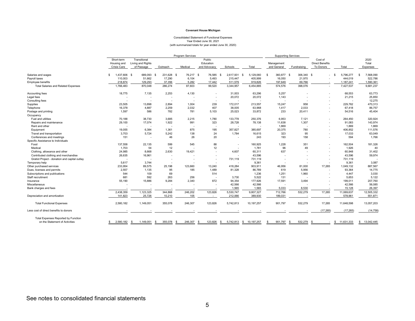#### Consolidated Statement of Functional Expenses Year Ended June 30, 2021 (with summarized totals for year ended June 30, 2020)

|                                                                              |                          | Program Services  |                 |                          |                          |                          |                   |                 | <b>Supporting Services</b> |                                  |                  |                   |
|------------------------------------------------------------------------------|--------------------------|-------------------|-----------------|--------------------------|--------------------------|--------------------------|-------------------|-----------------|----------------------------|----------------------------------|------------------|-------------------|
|                                                                              | Short-term               | Transitional      |                 |                          | Public                   |                          |                   |                 |                            | Cost of                          |                  | 2020              |
|                                                                              | Housing and              | Living and Rights |                 |                          | Education                |                          |                   | Management      |                            | <b>Direct Benefits</b>           |                  | Total             |
|                                                                              | <b>Crisis Care</b>       | of Passage        | Outreach        | Medical                  | and Advocacy             | Schools                  | Total             | and General     | Fundraising                | To Donors                        | Total            | Expenses          |
|                                                                              |                          |                   |                 |                          |                          |                          |                   |                 |                            |                                  |                  |                   |
| Salaries and wages                                                           | 1,437,606<br>\$          | 689,093<br>- \$   | 231,628 \$      | 76,217                   | 76,585<br>- \$           | 2,617,931<br>- \$        | 5,129,060<br>- \$ | 360,877<br>- \$ | 306,340 \$<br>- \$         |                                  | 5,796,277<br>£.  | 7,568,090<br>- \$ |
| Payroll taxes                                                                | 110,003                  | 51,662            | 17,290          | 6,104                    | 5,493                    | 215,447                  | 405,999           | 16,050          | 21,970                     |                                  | 444,019          | 522,786           |
| <b>Employee benefits</b>                                                     | 218,874                  | 129,293           | 37,356          | 5,282                    | 17,442                   | 511,579                  | 919,826           | 197,649         | 69,766                     |                                  | 1,187,241        | 1,590,361         |
| <b>Total Salaries and Related Expenses</b>                                   | 1,766,483                | 870,048           | 286,274         | 87,603                   | 99,520                   | 3,344,957                | 6,454,885         | 574,576         | 398,076                    | $\overline{\phantom{a}}$         | 7,427,537        | 9,681,237         |
| Accounting fees                                                              | 18,775                   | 7,135             | 2,253           | 4,130                    |                          | 31,003                   | 63,296            | 5,257           |                            |                                  | 68,553           | 63,773            |
| Legal fees                                                                   |                          |                   |                 |                          |                          | 20,072                   | 20,072            | 1,143           |                            |                                  | 21,215           | 25,850            |
| Consulting fees                                                              |                          |                   |                 | ٠.                       |                          |                          |                   |                 |                            |                                  |                  | 12,275            |
| Supplies                                                                     | 23,505                   | 13,898            | 2,894           | 1.004                    | 239                      | 172,017                  | 213,557           | 15,247          | 958                        |                                  | 229,762          | 470,313           |
| Telephone                                                                    | 16,378                   | 4,887             | 2,259           | 2,032                    | 407                      | 38,005                   | 63,968            | 1,417           | 2,033                      |                                  | 67,418           | 86,757            |
| Postage and printing                                                         | 1,597                    | 586               | 782             | 781                      | 5,103                    | 25,023                   | 33,872            | 233             | 20,411                     |                                  | 54,516           | 45,404            |
| Occupancy                                                                    |                          |                   |                 |                          |                          |                          |                   |                 |                            |                                  |                  |                   |
| Fuel and utilities                                                           | 70.188                   | 38.730            | 3,685           | 2,215                    | 1.780                    | 133,778                  | 250.376           | 6,953           | 7,121                      |                                  | 264,450          | 320,924           |
| Repairs and maintenance                                                      | 29,100                   | 17,074            | 1,922           | 991                      | 323                      | 28,728                   | 78,138            | 11,638          | 1,307                      |                                  | 91,083           | 143,974           |
| Rent and other                                                               | $\overline{\phantom{a}}$ |                   |                 | $\overline{\phantom{a}}$ | $\overline{\phantom{a}}$ |                          |                   | 1,869           |                            |                                  | 1,869            | 1,869             |
| Equipment                                                                    | 19,055                   | 6,384             | 1,361           | 875                      | 195                      | 357,827                  | 385,697           | 20,375          | 780                        |                                  | 406,852          | 111,576           |
| Travel and transportation                                                    | 3,703                    | 5,724             | 5,242           | 138                      | 24                       | 1,784                    | 16,615            | 323             | 95                         |                                  | 17,033           | 63,049            |
| Conferences and meetings                                                     | 151                      |                   | 46              | 26                       | 20                       |                          | 243               | 193             | 158                        |                                  | 594              | 1,766             |
| Specific Assistance to Individuals                                           |                          |                   |                 |                          |                          |                          |                   |                 |                            |                                  |                  |                   |
| Food                                                                         | 137,558                  | 22,135            | 599             | 545                      | 88                       | $\blacksquare$           | 160,925           | 1,228           | 351                        |                                  | 162,504          | 181,326           |
| Medical                                                                      | 1,703                    | 54                | 12              | $\overline{\phantom{a}}$ | 12                       | $\overline{\phantom{a}}$ | 1,781             | 96              | 49                         |                                  | 1,926            | 40                |
| Clothing, allowance and other                                                | 24,985                   | 8.668             | 2,630           | 19,421                   | $\overline{\phantom{a}}$ | 4,607                    | 60,311            | 637             |                            |                                  | 60,948           | 31,402            |
| Contributed clothing and merchandise                                         | 26,635                   | 16,961            | $\sim$          |                          | $\overline{\phantom{a}}$ | ٠                        | 43,596            |                 |                            |                                  | 43,596           | 59,974            |
| Gratiot Project - donation and capital outlay                                |                          |                   |                 |                          | $\overline{\phantom{a}}$ | 731,119                  | 731,119           |                 |                            |                                  | 731,119          |                   |
| Temporary help                                                               | 5.617                    | 3.744             |                 |                          |                          |                          | 9,361             |                 |                            |                                  | 9,361            | 3,087             |
| Other purchased services                                                     | 233,954                  | 89,575            | 25,198          | 123,660                  | 13,240                   | 418,284                  | 903,911           | 46,956          | 81,000                     | 17,265                           | 1,049,132        | 887,567           |
| Dues, licenses and permits                                                   | 2,557                    | 1.135             | 95              | 185                      | 1.489                    | 81,328                   | 86,789            | 619             | 5.956                      |                                  | 93,364           | 14,775            |
| Subscriptions and publications                                               | 544                      | 109               | 69              |                          | 514                      |                          | 1,236             | 1,251           | 1,960                      |                                  | 4,447            | 3,030             |
| Staff recruitment                                                            | 681                      | 592               | 263             | 256                      |                          | 3,730                    | 5,522             | 131             |                            |                                  | 5,653            | 5,122             |
|                                                                              | 55,190                   | 15,886            | 9,284           | 2,340                    | 872                      | 94,354                   | 177,926           | 17,591          | 3,494                      |                                  | 199,011          | 207,760           |
| Insurance<br>Miscellaneous                                                   |                          |                   |                 |                          |                          | 42,566                   | 42,566            |                 |                            |                                  | 42,566           | 56,085            |
| Bank charges and fees                                                        |                          |                   |                 |                          |                          | 1,565                    | 1,565             | 5,033           | 8,530                      |                                  | 15,128           | 26,397            |
|                                                                              |                          |                   |                 |                          |                          |                          |                   |                 |                            |                                  |                  |                   |
|                                                                              | 2,438,359                | 1,123,325         | 344,868         | 246,202                  | 123,826                  | 5,530,747                | 9,807,327         | 712,766         | 532,279                    | 17,265                           | 11,069,637       | 12,505,332        |
| Depreciation and amortization                                                | 141.823                  | 25,726            | 10,210          | 105                      | $\overline{\phantom{a}}$ | 212,066                  | 389,930           | 189,031         |                            |                                  | 578,961          | 551,871           |
| <b>Total Functional Expenses</b>                                             | 2,580,182                | 1,149,051         | 355,078         | 246,307                  | 123,826                  | 5,742,813                | 10,197,257        | 901,797         | 532,279                    | 17,265                           | 11,648,598       | 13,057,203        |
| Less cost of direct benefits to donors                                       |                          |                   |                 |                          |                          |                          |                   |                 |                            | (17, 265)                        | (17, 265)        | (14, 758)         |
| <b>Total Expenses Reported by Function</b><br>on the Statement of Activities | 2,580,182<br>s.          | 1,149,051<br>- \$ | 355,078<br>- \$ | 246,307<br>- S           | - \$<br>123,826          | - \$<br>5,742,813        | \$ 10,197,257     | - \$<br>901,797 | 532,279<br>- \$            | - 95<br>$\overline{\phantom{0}}$ | 11,631,333<br>\$ | 13,042,445<br>\$  |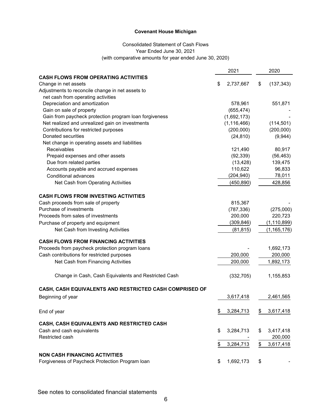# Consolidated Statement of Cash Flows

Year Ended June 30, 2021

(with comparative amounts for year ended June 30, 2020)

|                                                         |    | 2021          | 2020             |
|---------------------------------------------------------|----|---------------|------------------|
| <b>CASH FLOWS FROM OPERATING ACTIVITIES</b>             |    |               |                  |
| Change in net assets                                    | \$ | 2,737,667     | \$<br>(137, 343) |
| Adjustments to reconcile change in net assets to        |    |               |                  |
| net cash from operating activities                      |    |               |                  |
| Depreciation and amortization                           |    | 578,961       | 551,871          |
| Gain on sale of property                                |    | (655, 474)    |                  |
| Gain from paycheck protection program loan forgiveness  |    | (1,692,173)   |                  |
| Net realized and unrealized gain on investments         |    | (1, 116, 466) | (114, 501)       |
| Contributions for restricted purposes                   |    | (200,000)     | (200,000)        |
| Donated securities                                      |    | (24, 810)     | (9,944)          |
| Net change in operating assets and liabilities          |    |               |                  |
| Receivables                                             |    | 121,490       | 80,917           |
| Prepaid expenses and other assets                       |    | (92, 339)     | (56, 463)        |
| Due from related parties                                |    | (13, 428)     | 139,475          |
| Accounts payable and accrued expenses                   |    | 110,622       | 96,833           |
| <b>Conditional advances</b>                             |    | (204, 940)    | 78,011           |
| Net Cash from Operating Activities                      |    | (450, 890)    | 428,856          |
| <b>CASH FLOWS FROM INVESTING ACTIVITIES</b>             |    |               |                  |
| Cash proceeds from sale of property                     |    | 815,367       |                  |
| Purchase of investments                                 |    | (787, 336)    | (275,000)        |
| Proceeds from sales of investments                      |    | 200,000       | 220,723          |
| Purchase of property and equipment                      |    | (309,846)     | (1, 110, 899)    |
| Net Cash from Investing Activities                      |    | (81, 815)     | (1, 165, 176)    |
| <b>CASH FLOWS FROM FINANCING ACTIVITIES</b>             |    |               |                  |
| Proceeds from paycheck protection program loans         |    |               | 1,692,173        |
| Cash contributions for restricted purposes              |    | 200,000       | 200,000          |
| Net Cash from Financing Activities                      |    | 200,000       | 1,892,173        |
|                                                         |    |               |                  |
| Change in Cash, Cash Equivalents and Restricted Cash    |    | (332, 705)    | 1,155,853        |
| CASH, CASH EQUIVALENTS AND RESTRICTED CASH COMPRISED OF |    |               |                  |
| Beginning of year                                       |    | 3,617,418     | 2,461,565        |
| End of year                                             |    | 3,284,713     | 3,617,418        |
| CASH, CASH EQUIVALENTS AND RESTRICTED CASH              |    |               |                  |
| Cash and cash equivalents                               | S  | 3,284,713     | 3,417,418        |
| Restricted cash                                         |    |               | 200,000          |
|                                                         | \$ | 3,284,713     | \$<br>3,617,418  |
| <b>NON CASH FINANCING ACTIVITIES</b>                    |    |               |                  |
| Forgiveness of Paycheck Protection Program Ioan         | \$ | 1,692,173     | \$               |

See notes to consolidated financial statements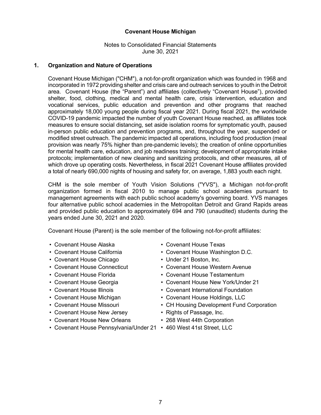# Notes to Consolidated Financial Statements June 30, 2021

#### **1. Organization and Nature of Operations**

Covenant House Michigan ("CHM"), a not-for-profit organization which was founded in 1968 and incorporated in 1972 providing shelter and crisis care and outreach services to youth in the Detroit area. Covenant House (the "Parent") and affiliates (collectively "Covenant House"), provided shelter, food, clothing, medical and mental health care, crisis intervention, education and vocational services, public education and prevention and other programs that reached approximately 18,000 young people during fiscal year 2021. During fiscal 2021, the worldwide COVID-19 pandemic impacted the number of youth Covenant House reached, as affiliates took measures to ensure social distancing, set aside isolation rooms for symptomatic youth, paused in-person public education and prevention programs, and, throughout the year, suspended or modified street outreach. The pandemic impacted all operations, including food production (meal provision was nearly 75% higher than pre-pandemic levels); the creation of online opportunities for mental health care, education, and job readiness training; development of appropriate intake protocols; implementation of new cleaning and sanitizing protocols, and other measures, all of which drove up operating costs. Nevertheless, in fiscal 2021 Covenant House affiliates provided a total of nearly 690,000 nights of housing and safety for, on average, 1,883 youth each night.

CHM is the sole member of Youth Vision Solutions ("YVS"), a Michigan not-for-profit organization formed in fiscal 2010 to manage public school academies pursuant to management agreements with each public school academy's governing board. YVS manages four alternative public school academies in the Metropolitan Detroit and Grand Rapids areas and provided public education to approximately 694 and 790 (unaudited) students during the years ended June 30, 2021 and 2020.

Covenant House (Parent) is the sole member of the following not-for-profit affiliates:

- Covenant House Alaska Covenant House Texas
- 
- Covenant House Chicago Under 21 Boston, Inc.
- 
- 
- 
- 
- 
- 
- Covenant House New Jersey Rights of Passage, Inc.
- Covenant House New Orleans 268 West 44th Corporation
- Covenant House Pennsylvania/Under 21 460 West 41st Street, LLC
- 
- Covenant House California Covenant House Washington D.C.
	-
- Covenant House Connecticut Covenant House Western Avenue
- Covenant House Florida Covenant House Testamentum
- Covenant House Georgia Covenant House New York/Under 21
- Covenant House Illinois Covenant International Foundation
- Covenant House Michigan Covenant House Holdings, LLC
- Covenant House Missouri CH Housing Development Fund Corporation
	-
	-
	-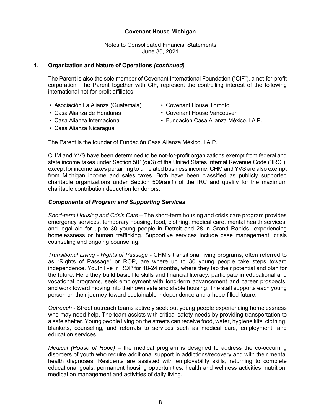Notes to Consolidated Financial Statements June 30, 2021

#### **1. Organization and Nature of Operations** *(continued)*

The Parent is also the sole member of Covenant International Foundation ("CIF"), a not-for-profit corporation. The Parent together with CIF, represent the controlling interest of the following international not-for-profit affiliates:

- Asociación La Alianza (Guatemala) Covenant House Toronto
- 
- 
- 
- Casa Alianza de Honduras • Covenant House Vancouver
- Casa Alianza Internacional Fundación Casa Alianza México, I.A.P.
- Casa Alianza Nicaragua

The Parent is the founder of Fundación Casa Alianza México, I.A.P.

CHM and YVS have been determined to be not-for-profit organizations exempt from federal and state income taxes under Section 501(c)(3) of the United States Internal Revenue Code ("IRC"), except for income taxes pertaining to unrelated business income. CHM and YVS are also exempt from Michigan income and sales taxes. Both have been classified as publicly supported charitable organizations under Section  $509(a)(1)$  of the IRC and qualify for the maximum charitable contribution deduction for donors.

## *Components of Program and Supporting Services*

*Short-term Housing and Crisis Care* – The short-term housing and crisis care program provides emergency services, temporary housing, food, clothing, medical care, mental health services, and legal aid for up to 30 young people in Detroit and 28 in Grand Rapids experiencing homelessness or human trafficking. Supportive services include case management, crisis counseling and ongoing counseling.

*Transitional Living - Rights of Passage -* CHM's transitional living programs, often referred to as "Rights of Passage" or ROP, are where up to 30 young people take steps toward independence. Youth live in ROP for 18-24 months, where they tap their potential and plan for the future. Here they build basic life skills and financial literacy, participate in educational and vocational programs, seek employment with long-term advancement and career prospects, and work toward moving into their own safe and stable housing. The staff supports each young person on their journey toward sustainable independence and a hope-filled future.

*Outreach* - Street outreach teams actively seek out young people experiencing homelessness who may need help. The team assists with critical safety needs by providing transportation to a safe shelter. Young people living on the streets can receive food, water, hygiene kits, clothing, blankets, counseling, and referrals to services such as medical care, employment, and education services.

*Medical (House of Hope)* – the medical program is designed to address the co-occurring disorders of youth who require additional support in addictions/recovery and with their mental health diagnoses. Residents are assisted with employability skills, returning to complete educational goals, permanent housing opportunities, health and wellness activities, nutrition, medication management and activities of daily living.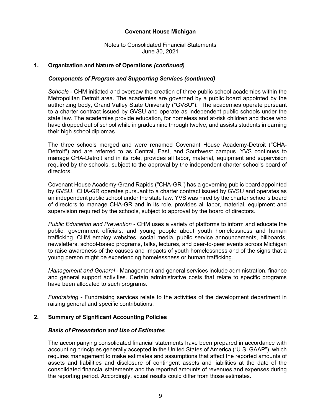Notes to Consolidated Financial Statements June 30, 2021

#### **1. Organization and Nature of Operations** *(continued)*

#### *Components of Program and Supporting Services (continued)*

*Schools* - CHM initiated and oversaw the creation of three public school academies within the Metropolitan Detroit area. The academies are governed by a public board appointed by the authorizing body, Grand Valley State University ("GVSU"). The academies operate pursuant to a charter contract issued by GVSU and operate as independent public schools under the state law. The academies provide education, for homeless and at-risk children and those who have dropped out of school while in grades nine through twelve, and assists students in earning their high school diplomas.

The three schools merged and were renamed Covenant House Academy-Detroit ("CHA-Detroit") and are referred to as Central, East, and Southwest campus. YVS continues to manage CHA-Detroit and in its role, provides all labor, material, equipment and supervision required by the schools, subject to the approval by the independent charter school's board of directors.

Covenant House Academy-Grand Rapids ("CHA-GR") has a governing public board appointed by GVSU. CHA-GR operates pursuant to a charter contract issued by GVSU and operates as an independent public school under the state law. YVS was hired by the charter school's board of directors to manage CHA-GR and in its role, provides all labor, material, equipment and supervision required by the schools, subject to approval by the board of directors.

*Public Education and Prevention* - CHM uses a variety of platforms to inform and educate the public, government officials, and young people about youth homelessness and human trafficking. CHM employ websites, social media, public service announcements, billboards, newsletters, school-based programs, talks, lectures, and peer-to-peer events across Michigan to raise awareness of the causes and impacts of youth homelessness and of the signs that a young person might be experiencing homelessness or human trafficking.

*Management and General -* Management and general services include administration, finance and general support activities. Certain administrative costs that relate to specific programs have been allocated to such programs.

*Fundraising -* Fundraising services relate to the activities of the development department in raising general and specific contributions.

#### **2. Summary of Significant Accounting Policies**

#### *Basis of Presentation and Use of Estimates*

The accompanying consolidated financial statements have been prepared in accordance with accounting principles generally accepted in the United States of America ("U.S. GAAP"), which requires management to make estimates and assumptions that affect the reported amounts of assets and liabilities and disclosure of contingent assets and liabilities at the date of the consolidated financial statements and the reported amounts of revenues and expenses during the reporting period. Accordingly, actual results could differ from those estimates.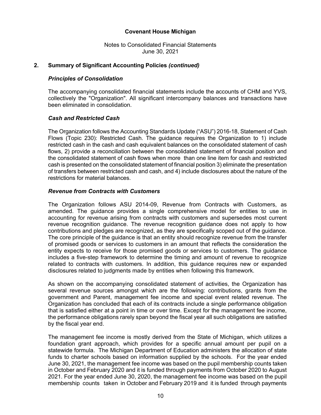Notes to Consolidated Financial Statements June 30, 2021

#### **2. Summary of Significant Accounting Policies** *(continued)*

#### *Principles of Consolidation*

The accompanying consolidated financial statements include the accounts of CHM and YVS, collectively the "Organization". All significant intercompany balances and transactions have been eliminated in consolidation.

# *Cash and Restricted Cash*

The Organization follows the Accounting Standards Update ("ASU") 2016-18, Statement of Cash Flows (Topic 230): Restricted Cash. The guidance requires the Organization to 1) include restricted cash in the cash and cash equivalent balances on the consolidated statement of cash flows, 2) provide a reconciliation between the consolidated statement of financial position and the consolidated statement of cash flows when more than one line item for cash and restricted cash is presented on the consolidated statement of financial position 3) eliminate the presentation of transfers between restricted cash and cash, and 4) include disclosures about the nature of the restrictions for material balances.

## *Revenue from Contracts with Customers*

The Organization follows ASU 2014-09, Revenue from Contracts with Customers, as amended. The guidance provides a single comprehensive model for entities to use in accounting for revenue arising from contracts with customers and supersedes most current revenue recognition guidance. The revenue recognition guidance does not apply to how contributions and pledges are recognized, as they are specifically scoped out of the guidance. The core principle of the guidance is that an entity should recognize revenue from the transfer of promised goods or services to customers in an amount that reflects the consideration the entity expects to receive for those promised goods or services to customers. The guidance includes a five-step framework to determine the timing and amount of revenue to recognize related to contracts with customers. In addition, this guidance requires new or expanded disclosures related to judgments made by entities when following this framework.

As shown on the accompanying consolidated statement of activities, the Organization has several revenue sources amongst which are the following: contributions, grants from the government and Parent, management fee income and special event related revenue. The Organization has concluded that each of its contracts include a single performance obligation that is satisfied either at a point in time or over time. Except for the management fee income, the performance obligations rarely span beyond the fiscal year all such obligations are satisfied by the fiscal year end.

The management fee income is mostly derived from the State of Michigan, which utilizes a foundation grant approach, which provides for a specific annual amount per pupil on a statewide formula. The Michigan Department of Education administers the allocation of state funds to charter schools based on information supplied by the schools. For the year ended June 30, 2021, the management fee income was based on the pupil membership counts taken in October and February 2020 and it is funded through payments from October 2020 to August 2021. For the year ended June 30, 2020, the management fee income was based on the pupil membership counts taken in October and February 2019 and it is funded through payments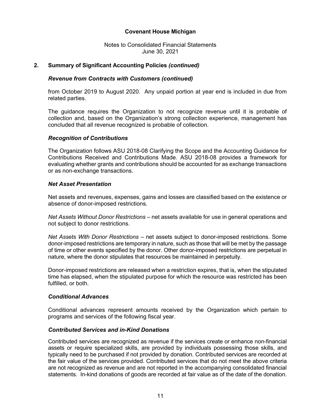Notes to Consolidated Financial Statements June 30, 2021

#### **2. Summary of Significant Accounting Policies** *(continued)*

#### *Revenue from Contracts with Customers (continued)*

from October 2019 to August 2020. Any unpaid portion at year end is included in due from related parties.

The guidance requires the Organization to not recognize revenue until it is probable of collection and, based on the Organization's strong collection experience, management has concluded that all revenue recognized is probable of collection.

## *Recognition of Contributions*

The Organization follows ASU 2018-08 Clarifying the Scope and the Accounting Guidance for Contributions Received and Contributions Made. ASU 2018-08 provides a framework for evaluating whether grants and contributions should be accounted for as exchange transactions or as non-exchange transactions.

## *Net Asset Presentation*

Net assets and revenues, expenses, gains and losses are classified based on the existence or absence of donor-imposed restrictions.

*Net Assets Without Donor Restrictions* – net assets available for use in general operations and not subject to donor restrictions.

*Net Assets With Donor Restrictions* – net assets subject to donor-imposed restrictions. Some donor-imposed restrictions are temporary in nature, such as those that will be met by the passage of time or other events specified by the donor. Other donor-imposed restrictions are perpetual in nature, where the donor stipulates that resources be maintained in perpetuity.

Donor-imposed restrictions are released when a restriction expires, that is, when the stipulated time has elapsed, when the stipulated purpose for which the resource was restricted has been fulfilled, or both.

#### *Conditional Advances*

Conditional advances represent amounts received by the Organization which pertain to programs and services of the following fiscal year.

#### *Contributed Services and in-Kind Donations*

Contributed services are recognized as revenue if the services create or enhance non-financial assets or require specialized skills, are provided by individuals possessing those skills, and typically need to be purchased if not provided by donation. Contributed services are recorded at the fair value of the services provided. Contributed services that do not meet the above criteria are not recognized as revenue and are not reported in the accompanying consolidated financial statements. In-kind donations of goods are recorded at fair value as of the date of the donation.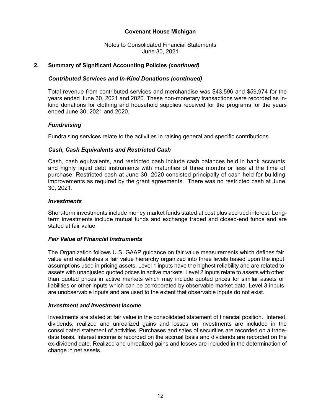Notes to Consolidated Financial Statements June 30, 2021

#### **2. Summary of Significant Accounting Policies** *(continued)*

#### *Contributed Services and In-Kind Donations (continued)*

Total revenue from contributed services and merchandise was \$43,596 and \$59,974 for the years ended June 30, 2021 and 2020. These non-monetary transactions were recorded as inkind donations for clothing and household supplies received for the programs for the years ended June 30, 2021 and 2020.

## *Fundraising*

Fundraising services relate to the activities in raising general and specific contributions.

## *Cash, Cash Equivalents and Restricted Cash*

Cash, cash equivalents, and restricted cash include cash balances held in bank accounts and highly liquid debt instruments with maturities of three months or less at the time of purchase. Restricted cash at June 30, 2020 consisted principally of cash held for building improvements as required by the grant agreements. There was no restricted cash at June 30, 2021.

#### *Investments*

Short-term investments include money market funds stated at cost plus accrued interest. Longterm investments include mutual funds and exchange traded and closed-end funds and are stated at fair value.

#### *Fair Value of Financial Instruments*

The Organization follows U.S. GAAP guidance on fair value measurements which defines fair value and establishes a fair value hierarchy organized into three levels based upon the input assumptions used in pricing assets. Level 1 inputs have the highest reliability and are related to assets with unadjusted quoted prices in active markets. Level 2 inputs relate to assets with other than quoted prices in active markets which may include quoted prices for similar assets or liabilities or other inputs which can be corroborated by observable market data. Level 3 inputs are unobservable inputs and are used to the extent that observable inputs do not exist.

#### *Investment and Investment Income*

Investments are stated at fair value in the consolidated statement of financial position. Interest, dividends, realized and unrealized gains and losses on investments are included in the consolidated statement of activities. Purchases and sales of securities are recorded on a tradedate basis. Interest income is recorded on the accrual basis and dividends are recorded on the ex-dividend date. Realized and unrealized gains and losses are included in the determination of change in net assets.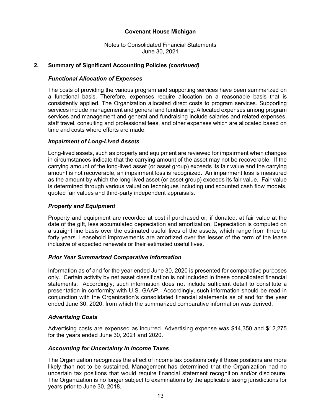Notes to Consolidated Financial Statements June 30, 2021

## **2. Summary of Significant Accounting Policies** *(continued)*

## *Functional Allocation of Expenses*

The costs of providing the various program and supporting services have been summarized on a functional basis. Therefore, expenses require allocation on a reasonable basis that is consistently applied. The Organization allocated direct costs to program services. Supporting services include management and general and fundraising. Allocated expenses among program services and management and general and fundraising include salaries and related expenses, staff travel, consulting and professional fees, and other expenses which are allocated based on time and costs where efforts are made.

## *Impairment of Long-Lived Assets*

Long-lived assets, such as property and equipment are reviewed for impairment when changes in circumstances indicate that the carrying amount of the asset may not be recoverable. If the carrying amount of the long-lived asset (or asset group) exceeds its fair value and the carrying amount is not recoverable, an impairment loss is recognized. An impairment loss is measured as the amount by which the long-lived asset (or asset group) exceeds its fair value. Fair value is determined through various valuation techniques including undiscounted cash flow models, quoted fair values and third-party independent appraisals.

# *Property and Equipment*

Property and equipment are recorded at cost if purchased or, if donated, at fair value at the date of the gift, less accumulated depreciation and amortization. Depreciation is computed on a straight line basis over the estimated useful lives of the assets, which range from three to forty years. Leasehold improvements are amortized over the lesser of the term of the lease inclusive of expected renewals or their estimated useful lives.

#### *Prior Year Summarized Comparative Information*

Information as of and for the year ended June 30, 2020 is presented for comparative purposes only. Certain activity by net asset classification is not included in these consolidated financial statements. Accordingly, such information does not include sufficient detail to constitute a presentation in conformity with U.S. GAAP. Accordingly, such information should be read in conjunction with the Organization's consolidated financial statements as of and for the year ended June 30, 2020, from which the summarized comparative information was derived.

# *Advertising Costs*

Advertising costs are expensed as incurred. Advertising expense was \$14,350 and \$12,275 for the years ended June 30, 2021 and 2020.

#### *Accounting for Uncertainty in Income Taxes*

The Organization recognizes the effect of income tax positions only if those positions are more likely than not to be sustained. Management has determined that the Organization had no uncertain tax positions that would require financial statement recognition and/or disclosure. The Organization is no longer subject to examinations by the applicable taxing jurisdictions for years prior to June 30, 2018.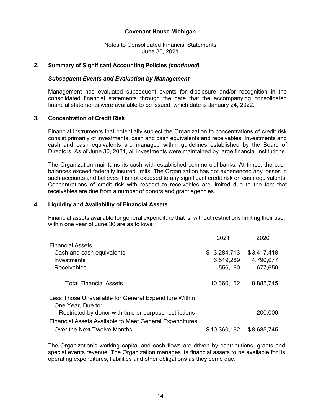Notes to Consolidated Financial Statements June 30, 2021

#### **2. Summary of Significant Accounting Policies** *(continued)*

#### *Subsequent Events and Evaluation by Management*

Management has evaluated subsequent events for disclosure and/or recognition in the consolidated financial statements through the date that the accompanying consolidated financial statements were available to be issued, which date is January 24, 2022.

## **3. Concentration of Credit Risk**

Financial instruments that potentially subject the Organization to concentrations of credit risk consist primarily of investments, cash and cash equivalents and receivables. Investments and cash and cash equivalents are managed within guidelines established by the Board of Directors. As of June 30, 2021, all investments were maintained by large financial institutions.

The Organization maintains its cash with established commercial banks. At times, the cash balances exceed federally insured limits. The Organization has not experienced any losses in such accounts and believes it is not exposed to any significant credit risk on cash equivalents. Concentrations of credit risk with respect to receivables are limited due to the fact that receivables are due from a number of donors and grant agencies.

#### **4. Liquidity and Availability of Financial Assets**

Financial assets available for general expenditure that is, without restrictions limiting their use, within one year of June 30 are as follows:

|                                                         | 2021         | 2020        |
|---------------------------------------------------------|--------------|-------------|
| Financial Assets                                        |              |             |
| Cash and cash equivalents                               | \$3,284,713  | \$3,417,418 |
| <b>Investments</b>                                      | 6,519,289    | 4,790,677   |
| <b>Receivables</b>                                      | 556,160      | 677,650     |
| <b>Total Financial Assets</b>                           | 10,360,162   | 8,885,745   |
| Less Those Unavailable for General Expenditure Within   |              |             |
| One Year, Due to:                                       |              |             |
| Restricted by donor with time or purpose restrictions   |              | 200,000     |
| Financial Assets Available to Meet General Expenditures |              |             |
| Over the Next Twelve Months                             | \$10,360,162 | \$8,685,745 |

The Organization's working capital and cash flows are driven by contributions, grants and special events revenue. The Organization manages its financial assets to be available for its operating expenditures, liabilities and other obligations as they come due.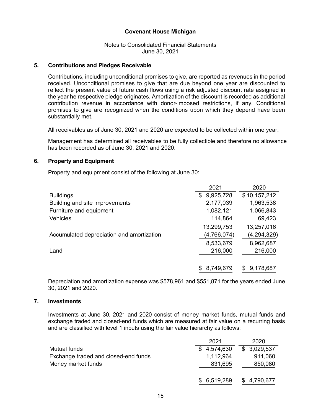# Notes to Consolidated Financial Statements June 30, 2021

#### **5. Contributions and Pledges Receivable**

Contributions, including unconditional promises to give, are reported as revenues in the period received. Unconditional promises to give that are due beyond one year are discounted to reflect the present value of future cash flows using a risk adjusted discount rate assigned in the year he respective pledge originates. Amortization of the discount is recorded as additional contribution revenue in accordance with donor-imposed restrictions, if any. Conditional promises to give are recognized when the conditions upon which they depend have been substantially met.

All receivables as of June 30, 2021 and 2020 are expected to be collected within one year.

Management has determined all receivables to be fully collectible and therefore no allowance has been recorded as of June 30, 2021 and 2020.

#### **6. Property and Equipment**

Property and equipment consist of the following at June 30:

|                                           | 2021            | 2020          |
|-------------------------------------------|-----------------|---------------|
| <b>Buildings</b>                          | 9,925,728<br>\$ | \$10,157,212  |
| Building and site improvements            | 2,177,039       | 1,963,538     |
| Furniture and equipment                   | 1,082,121       | 1,066,843     |
| <b>Vehicles</b>                           | 114,864         | 69,423        |
|                                           | 13,299,753      | 13,257,016    |
| Accumulated depreciation and amortization | (4,766,074)     | (4, 294, 329) |
|                                           | 8,533,679       | 8,962,687     |
| Land                                      | 216,000         | 216,000       |
|                                           | 8,749,679       | 9,178,687     |

Depreciation and amortization expense was \$578,961 and \$551,871 for the years ended June 30, 2021 and 2020.

## **7. Investments**

Investments at June 30, 2021 and 2020 consist of money market funds, mutual funds and exchange traded and closed-end funds which are measured at fair value on a recurring basis and are classified with level 1 inputs using the fair value hierarchy as follows:

|                                      | 2021        | 2020        |
|--------------------------------------|-------------|-------------|
| Mutual funds                         | \$4,574,630 | \$3,029,537 |
| Exchange traded and closed-end funds | 1,112,964   | 911,060     |
| Money market funds                   | 831,695     | 850,080     |
|                                      | \$6,519,289 | \$4,790,677 |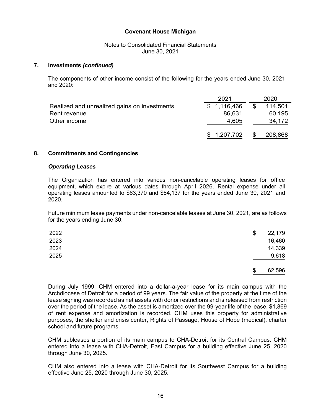#### Notes to Consolidated Financial Statements June 30, 2021

#### **7. Investments** *(continued)*

The components of other income consist of the following for the years ended June 30, 2021 and 2020:

|                                              | 2021        | 2020          |
|----------------------------------------------|-------------|---------------|
| Realized and unrealized gains on investments | \$1,116,466 | \$<br>114,501 |
| Rent revenue                                 | 86,631      | 60,195        |
| Other income                                 | 4,605       | 34,172        |
|                                              | \$1,207,702 | 208,868       |

#### **8. Commitments and Contingencies**

#### *Operating Leases*

The Organization has entered into various non-cancelable operating leases for office equipment, which expire at various dates through April 2026. Rental expense under all operating leases amounted to \$63,370 and \$64,137 for the years ended June 30, 2021 and 2020.

Future minimum lease payments under non-cancelable leases at June 30, 2021, are as follows for the years ending June 30:

| 2022 | 22,179<br>\$ |
|------|--------------|
| 2023 | 16,460       |
| 2024 | 14,339       |
| 2025 | 9,618        |
|      |              |

\$ 62,596

During July 1999, CHM entered into a dollar-a-year lease for its main campus with the Archdiocese of Detroit for a period of 99 years. The fair value of the property at the time of the lease signing was recorded as net assets with donor restrictions and is released from restriction over the period of the lease. As the asset is amortized over the 99-year life of the lease, \$1,869 of rent expense and amortization is recorded. CHM uses this property for administrative purposes, the shelter and crisis center, Rights of Passage, House of Hope (medical), charter school and future programs.

CHM subleases a portion of its main campus to CHA-Detroit for its Central Campus. CHM entered into a lease with CHA-Detroit, East Campus for a building effective June 25, 2020 through June 30, 2025.

CHM also entered into a lease with CHA-Detroit for its Southwest Campus for a building effective June 25, 2020 through June 30, 2025.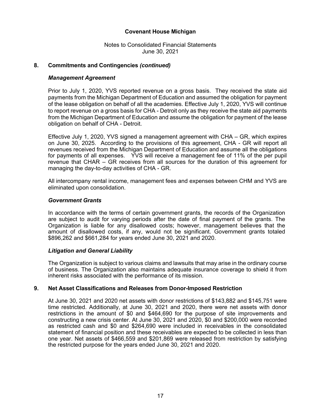Notes to Consolidated Financial Statements June 30, 2021

#### **8. Commitments and Contingencies** *(continued)*

## *Management Agreement*

Prior to July 1, 2020, YVS reported revenue on a gross basis. They received the state aid payments from the Michigan Department of Education and assumed the obligation for payment of the lease obligation on behalf of all the academies. Effective July 1, 2020, YVS will continue to report revenue on a gross basis for CHA - Detroit only as they receive the state aid payments from the Michigan Department of Education and assume the obligation for payment of the lease obligation on behalf of CHA - Detroit.

Effective July 1, 2020, YVS signed a management agreement with CHA – GR, which expires on June 30, 2025. According to the provisions of this agreement, CHA - GR will report all revenues received from the Michigan Department of Education and assume all the obligations for payments of all expenses. YVS will receive a management fee of 11% of the per pupil revenue that CHAR – GR receives from all sources for the duration of this agreement for managing the day-to-day activities of CHA - GR.

All intercompany rental income, management fees and expenses between CHM and YVS are eliminated upon consolidation.

#### *Government Grants*

In accordance with the terms of certain government grants, the records of the Organization are subject to audit for varying periods after the date of final payment of the grants. The Organization is liable for any disallowed costs; however, management believes that the amount of disallowed costs, if any, would not be significant. Government grants totaled \$896,262 and \$661,284 for years ended June 30, 2021 and 2020.

#### *Litigation and General Liability*

The Organization is subject to various claims and lawsuits that may arise in the ordinary course of business. The Organization also maintains adequate insurance coverage to shield it from inherent risks associated with the performance of its mission.

# **9. Net Asset Classifications and Releases from Donor-Imposed Restriction**

At June 30, 2021 and 2020 net assets with donor restrictions of \$143,882 and \$145,751 were time restricted. Additionally, at June 30, 2021 and 2020, there were net assets with donor restrictions in the amount of \$0 and \$464,690 for the purpose of site improvements and constructing a new crisis center. At June 30, 2021 and 2020, \$0 and \$200,000 were recorded as restricted cash and \$0 and \$264,690 were included in receivables in the consolidated statement of financial position and these receivables are expected to be collected in less than one year. Net assets of \$466,559 and \$201,869 were released from restriction by satisfying the restricted purpose for the years ended June 30, 2021 and 2020.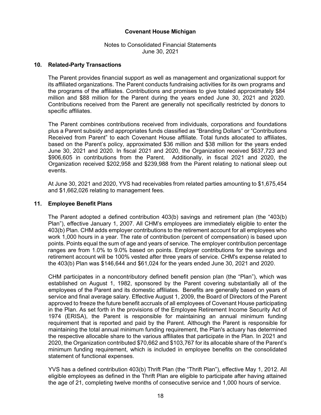# Notes to Consolidated Financial Statements June 30, 2021

#### **10. Related-Party Transactions**

The Parent provides financial support as well as management and organizational support for its affiliated organizations. The Parent conducts fundraising activities for its own programs and the programs of the affiliates. Contributions and promises to give totaled approximately \$84 million and \$88 million for the Parent during the years ended June 30, 2021 and 2020. Contributions received from the Parent are generally not specifically restricted by donors to specific affiliates.

The Parent combines contributions received from individuals, corporations and foundations plus a Parent subsidy and appropriates funds classified as "Branding Dollars" or "Contributions Received from Parent" to each Covenant House affiliate. Total funds allocated to affiliates, based on the Parent's policy, approximated \$36 million and \$38 million for the years ended June 30, 2021 and 2020. In fiscal 2021 and 2020, the Organization received \$637,723 and \$906,605 in contributions from the Parent. Additionally, in fiscal 2021 and 2020, the Organization received \$202,958 and \$239,988 from the Parent relating to national sleep out events.

At June 30, 2021 and 2020, YVS had receivables from related parties amounting to \$1,675,454 and \$1,662,026 relating to management fees.

#### **11. Employee Benefit Plans**

The Parent adopted a defined contribution 403(b) savings and retirement plan (the "403(b) Plan"), effective January 1, 2007. All CHM's employees are immediately eligible to enter the 403(b) Plan. CHM adds employer contributions to the retirement account for all employees who work 1,000 hours in a year. The rate of contribution (percent of compensation) is based upon points. Points equal the sum of age and years of service. The employer contribution percentage ranges are from 1.0% to 9.0% based on points. Employer contributions for the savings and retirement account will be 100% vested after three years of service. CHM's expense related to the 403(b) Plan was \$146,644 and \$61,024 for the years ended June 30, 2021 and 2020.

CHM participates in a noncontributory defined benefit pension plan (the "Plan"), which was established on August 1, 1982, sponsored by the Parent covering substantially all of the employees of the Parent and its domestic affiliates. Benefits are generally based on years of service and final average salary. Effective August 1, 2009, the Board of Directors of the Parent approved to freeze the future benefit accruals of all employees of Covenant House participating in the Plan. As set forth in the provisions of the Employee Retirement Income Security Act of 1974 (ERISA), the Parent is responsible for maintaining an annual minimum funding requirement that is reported and paid by the Parent. Although the Parent is responsible for maintaining the total annual minimum funding requirement, the Plan's actuary has determined the respective allocable share to the various affiliates that participate in the Plan. In 2021 and 2020, the Organization contributed \$70,662 and \$103,767 for its allocable share of the Parent's minimum funding requirement, which is included in employee benefits on the consolidated statement of functional expenses.

YVS has a defined contribution 403(b) Thrift Plan (the "Thrift Plan"), effective May 1, 2012. All eligible employees as defined in the Thrift Plan are eligible to participate after having attained the age of 21, completing twelve months of consecutive service and 1,000 hours of service.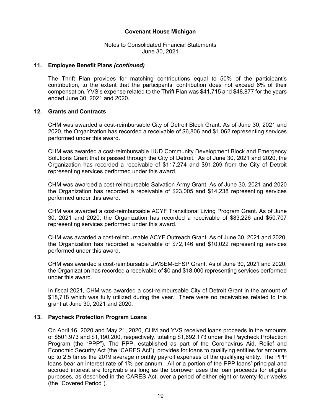# Notes to Consolidated Financial Statements June 30, 2021

#### **11. Employee Benefit Plans** *(continued)*

The Thrift Plan provides for matching contributions equal to 50% of the participant's contribution, to the extent that the participants' contribution does not exceed 6% of their compensation. YVS's expense related to the Thrift Plan was \$41,715 and \$48,877 for the years ended June 30, 2021 and 2020.

#### **12. Grants and Contracts**

CHM was awarded a cost-reimbursable City of Detroit Block Grant. As of June 30, 2021 and 2020, the Organization has recorded a receivable of \$6,806 and \$1,062 representing services performed under this award.

CHM was awarded a cost-reimbursable HUD Community Development Block and Emergency Solutions Grant that is passed through the City of Detroit. As of June 30, 2021 and 2020, the Organization has recorded a receivable of \$117,274 and \$91,269 from the City of Detroit representing services performed under this award.

CHM was awarded a cost-reimbursable Salvation Army Grant. As of June 30, 2021 and 2020 the Organization has recorded a receivable of \$23,005 and \$14,238 representing services performed under this award.

CHM was awarded a cost-reimbursable ACYF Transitional Living Program Grant. As of June 30, 2021 and 2020, the Organization has recorded a receivable of \$83,226 and \$50,707 representing services performed under this award.

CHM was awarded a cost-reimbursable ACYF Outreach Grant. As of June 30, 2021 and 2020, the Organization has recorded a receivable of \$72,146 and \$10,022 representing services performed under this award.

CHM was awarded a cost-reimbursable UWSEM-EFSP Grant. As of June 30, 2021 and 2020, the Organization has recorded a receivable of \$0 and \$18,000 representing services performed under this award.

In fiscal 2021, CHM was awarded a cost-reimbursable City of Detroit Grant in the amount of \$18,718 which was fully utilized during the year. There were no receivables related to this grant at June 30, 2021 and 2020.

# **13. Paycheck Protection Program Loans**

On April 16, 2020 and May 21, 2020, CHM and YVS received loans proceeds in the amounts of \$501,973 and \$1,190,200, respectively, totaling \$1,692,173 under the Paycheck Protection Program (the "PPP"). The PPP, established as part of the Coronavirus Aid, Relief and Economic Security Act (the "CARES Act"), provides for loans to qualifying entities for amounts up to 2.5 times the 2019 average monthly payroll expenses of the qualifying entity. The PPP loans bear an interest rate of 1% per annum. All or a portion of the PPP loans' principal and accrued interest are forgivable as long as the borrower uses the loan proceeds for eligible purposes, as described in the CARES Act, over a period of either eight or twenty-four weeks (the "Covered Period").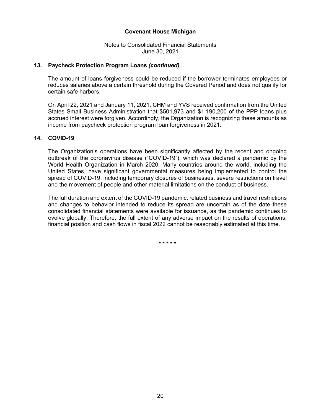# Notes to Consolidated Financial Statements June 30, 2021

#### **13. Paycheck Protection Program Loans** *(continued)*

The amount of loans forgiveness could be reduced if the borrower terminates employees or reduces salaries above a certain threshold during the Covered Period and does not qualify for certain safe harbors.

On April 22, 2021 and January 11, 2021, CHM and YVS received confirmation from the United States Small Business Administration that \$501,973 and \$1,190,200 of the PPP loans plus accrued interest were forgiven. Accordingly, the Organization is recognizing these amounts as income from paycheck protection program loan forgiveness in 2021.

#### **14. COVID-19**

The Organization's operations have been significantly affected by the recent and ongoing outbreak of the coronavirus disease ("COVID-19"), which was declared a pandemic by the World Health Organization in March 2020. Many countries around the world, including the United States, have significant governmental measures being implemented to control the spread of COVID-19, including temporary closures of businesses, severe restrictions on travel and the movement of people and other material limitations on the conduct of business.

The full duration and extent of the COVID-19 pandemic, related business and travel restrictions and changes to behavior intended to reduce its spread are uncertain as of the date these consolidated financial statements were available for issuance, as the pandemic continues to evolve globally. Therefore, the full extent of any adverse impact on the results of operations, financial position and cash flows in fiscal 2022 cannot be reasonably estimated at this time.

\* \* \* \* \*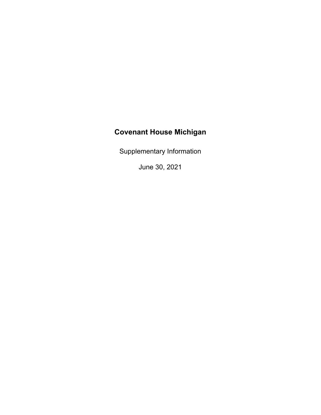Supplementary Information

June 30, 2021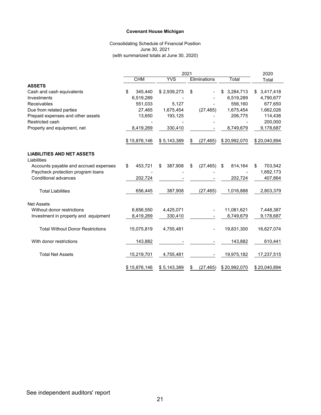#### (with summarized totals at June 30, 2020) Consolidating Schedule of Financial Position June 30, 2021

|                                                  |    | 2020         |               |                 |     |              |               |
|--------------------------------------------------|----|--------------|---------------|-----------------|-----|--------------|---------------|
|                                                  |    | <b>CHM</b>   | <b>YVS</b>    | Eliminations    |     | Total        | Total         |
| <b>ASSETS</b>                                    |    |              |               |                 |     |              |               |
| Cash and cash equivalents                        | \$ | 345,440      | \$2,939,273   | \$              | \$. | 3,284,713    | \$3,417,418   |
| Investments                                      |    | 6,519,289    |               |                 |     | 6,519,289    | 4,790,677     |
| Receivables                                      |    | 551,033      | 5,127         |                 |     | 556,160      | 677,650       |
| Due from related parties                         |    | 27,465       | 1,675,454     | (27, 465)       |     | 1,675,454    | 1,662,026     |
| Prepaid expenses and other assets                |    | 13,650       | 193,125       |                 |     | 206,775      | 114,436       |
| Restricted cash                                  |    |              |               |                 |     |              | 200,000       |
| Property and equipment, net                      |    | 8,419,269    | 330,410       |                 |     | 8,749,679    | 9,178,687     |
|                                                  |    | \$15,876,146 | \$5,143,389   | \$<br>(27, 465) |     | \$20,992,070 | \$20,040,894  |
| <b>LIABILITIES AND NET ASSETS</b><br>Liabilities |    |              |               |                 |     |              |               |
| Accounts payable and accrued expenses            | \$ | 453,721      | 387,908<br>\$ | \$<br>(27, 465) | \$  | 814,164      | \$<br>703,542 |
| Paycheck protection program loans                |    |              |               |                 |     |              | 1,692,173     |
| Conditional advances                             |    | 202,724      |               |                 |     | 202,724      | 407,664       |
| <b>Total Liabilities</b>                         |    | 656,445      | 387,908       | (27, 465)       |     | 1,016,888    | 2,803,379     |
| <b>Net Assets</b>                                |    |              |               |                 |     |              |               |
| Without donor restrictions                       |    | 6,656,550    | 4,425,071     |                 |     | 11,081,621   | 7,448,387     |
| Investment in property and equipment             |    | 8,419,269    | 330,410       |                 |     | 8,749,679    | 9,178,687     |
| <b>Total Without Donor Restrictions</b>          |    | 15,075,819   | 4,755,481     |                 |     | 19,831,300   | 16,627,074    |
| With donor restrictions                          |    | 143,882      |               |                 |     | 143,882      | 610,441       |
| <b>Total Net Assets</b>                          |    | 15,219,701   | 4,755,481     |                 |     | 19,975,182   | 17,237,515    |
|                                                  |    | \$15,876,146 | \$5,143,389   | \$<br>(27, 465) |     | \$20,992,070 | \$20,040,894  |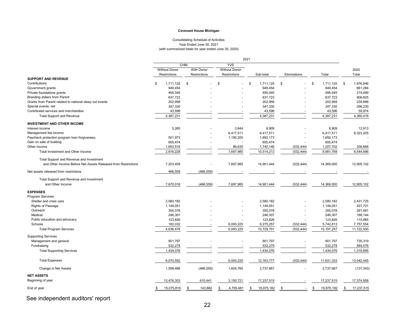#### Consolidating Schedule of Activities (with summarized totals for year ended June 30, 2020) Year Ended June 30, 2021

|                                                                                                           | 2021                 |  |                   |                      |              |    |              |    |                |    |            |                  |  |
|-----------------------------------------------------------------------------------------------------------|----------------------|--|-------------------|----------------------|--------------|----|--------------|----|----------------|----|------------|------------------|--|
|                                                                                                           | <b>CHM</b>           |  |                   | <b>YVS</b>           |              |    |              |    |                |    |            |                  |  |
|                                                                                                           | <b>Without Donor</b> |  | <b>With Donor</b> | <b>Without Donor</b> |              |    |              |    |                |    |            | 2020             |  |
|                                                                                                           | Restrictions         |  | Restrictions      |                      | Restrictions |    | Sub-total    |    | Eliminations   |    | Total      | Total            |  |
| <b>SUPPORT AND REVENUE</b>                                                                                |                      |  |                   |                      |              |    |              |    |                |    |            |                  |  |
| Contributions                                                                                             | 1,711,125<br>\$      |  | \$                | \$                   |              | \$ | 1,711,125    | \$ |                | \$ | 1,711,125  | \$<br>1,976,846  |  |
| Government grants                                                                                         | 949,454              |  |                   |                      |              |    | 949,454      |    |                |    | 949,454    | 661,284          |  |
| Private foundations grants                                                                                | 495,045              |  |                   |                      |              |    | 495,045      |    |                |    | 495,045    | 219,489          |  |
| Branding dollars from Parent                                                                              | 637,723              |  |                   |                      |              |    | 637,723      |    |                |    | 637,723    | 906,605          |  |
| Grants from Parent related to national sleep out events                                                   | 202,958              |  |                   |                      |              |    | 202,958      |    |                |    | 202,958    | 239,988          |  |
| Special events, net                                                                                       | 347,330              |  |                   |                      |              |    | 347,330      |    |                |    | 347,330    | 296,230          |  |
| Contributed services and merchandise                                                                      | 43,596               |  |                   |                      |              |    | 43,596       |    |                |    | 43,596     | 59,974           |  |
| <b>Total Support and Revenue</b>                                                                          | 4,387,231            |  |                   |                      |              |    | 4,387,231    |    | $\overline{a}$ |    | 4,387,231  | 4,360,416        |  |
| <b>INVESTMENT AND OTHER INCOME</b>                                                                        |                      |  |                   |                      |              |    |              |    |                |    |            |                  |  |
| Interest income                                                                                           | 5,265                |  |                   |                      | 3,644        |    | 8,909        |    |                |    | 8,909      | 12,613           |  |
| Management fee income                                                                                     |                      |  |                   |                      | 6,417,511    |    | 6,417,511    |    |                |    | 6,417,511  | 8,323,205        |  |
| Paycheck protection program loan forgiveness                                                              | 501,973              |  |                   |                      | 1,190,200    |    | 1,692,173    |    |                |    | 1,692,173  |                  |  |
| Gain on sale of building                                                                                  | 655,474              |  |                   |                      |              |    | 655,474      |    |                |    | 655,474    |                  |  |
| Other income                                                                                              | 1,653,516            |  |                   |                      | 86,630       |    | 1,740,146    |    | (532, 444)     |    | 1,207,702  | 208,868          |  |
| Total Investment and Other Income                                                                         | 2,816,228            |  | ÷.                |                      | 7,697,985    |    | 10,514,213   |    | (532, 444)     |    | 9,981,769  | 8,544,686        |  |
|                                                                                                           |                      |  |                   |                      |              |    |              |    |                |    |            |                  |  |
| Total Support and Revenue and Investment<br>and Other Income Before Net Assets Released from Restrictions | 7,203,459            |  |                   |                      | 7,697,985    |    | 14,901,444   |    | (532, 444)     |    | 14,369,000 | 12,905,102       |  |
| Net assets released from restrictions                                                                     | 466,559              |  | (466, 559)        |                      |              |    |              |    |                |    |            |                  |  |
|                                                                                                           |                      |  |                   |                      |              |    |              |    |                |    |            |                  |  |
| Total Support and Revenue and Investment                                                                  |                      |  |                   |                      |              |    |              |    |                |    |            |                  |  |
| and Other Income                                                                                          | 7,670,018            |  | (466, 559)        |                      | 7,697,985    |    | 14,901,444   |    | (532, 444)     |    | 14,369,000 | 12,905,102       |  |
| <b>EXPENSES</b>                                                                                           |                      |  |                   |                      |              |    |              |    |                |    |            |                  |  |
| <b>Program Services</b>                                                                                   |                      |  |                   |                      |              |    |              |    |                |    |            |                  |  |
| Shelter and crisis care                                                                                   | 2,580,182            |  |                   |                      |              |    | 2,580,182    |    |                |    | 2,580,182  | 2,431,725        |  |
| <b>Rights of Passage</b>                                                                                  | 1,149,051            |  |                   |                      |              |    | 1,149,051    |    |                |    | 1,149,051  | 937,701          |  |
| Outreach                                                                                                  | 355,078              |  |                   |                      |              |    | 355,078      |    |                |    | 355,078    | 291,461          |  |
| Medical                                                                                                   | 246,307              |  |                   |                      |              |    | 246,307      |    |                |    | 246,307    | 188,144          |  |
| Public education and advocacy                                                                             | 123,826              |  |                   |                      |              |    | 123,826      |    |                |    | 123,826    | 115,965          |  |
| Schools                                                                                                   | 182,032              |  |                   |                      | 6,093,225    |    | 6,275,257    |    | (532, 444)     |    | 5,742,813  | 7,757,554        |  |
| <b>Total Program Services</b>                                                                             | 4,636,476            |  |                   |                      | 6,093,225    |    | 10,729,701   |    | (532, 444)     |    | 10,197,257 | 11,722,550       |  |
| <b>Supporting Services</b>                                                                                |                      |  |                   |                      |              |    |              |    |                |    |            |                  |  |
| Management and general                                                                                    | 901,797              |  |                   |                      |              |    | 901,797      |    |                |    | 901,797    | 735,319          |  |
| Fundraising                                                                                               | 532,279              |  |                   |                      |              |    | 532,279      |    |                |    | 532,279    | 584,576          |  |
| <b>Total Supporting Services</b>                                                                          | 1,434,076            |  |                   |                      |              |    | 1,434,076    |    | $\sim$         |    | 1,434,076  | 1,319,895        |  |
| <b>Total Expenses</b>                                                                                     | 6,070,552            |  |                   |                      | 6,093,225    |    | 12, 163, 777 |    | (532, 444)     |    | 11,631,333 | 13,042,445       |  |
| Change in Net Assets                                                                                      | 1,599,466            |  | (466, 559)        |                      | 1,604,760    |    | 2,737,667    |    |                |    | 2,737,667  | (137, 343)       |  |
| <b>NET ASSETS</b>                                                                                         |                      |  |                   |                      |              |    |              |    |                |    |            |                  |  |
| Beginning of year                                                                                         | 13,476,353           |  | 610,441           |                      | 3,150,721    |    | 17,237,515   |    |                |    | 17,237,515 | 17,374,858       |  |
| End of year                                                                                               | 15,075,819<br>\$     |  | \$<br>143,882     | \$                   | 4,755,481    | \$ | 19,975,182   | \$ |                | \$ | 19,975,182 | \$<br>17,237,515 |  |
|                                                                                                           |                      |  |                   |                      |              |    |              |    |                |    |            |                  |  |

See independent auditors' report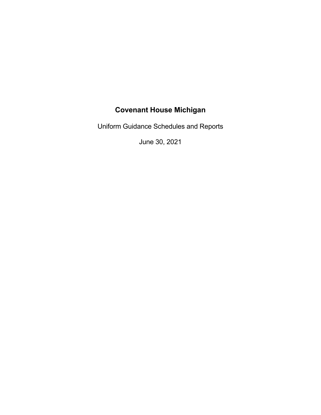Uniform Guidance Schedules and Reports

June 30, 2021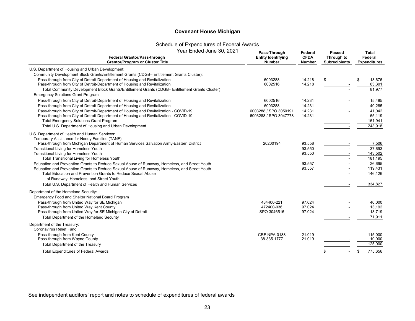#### Schedule of Expenditures of Federal Awards

| Year Ended June 30, 2021<br><b>Federal Grantor/Pass-through</b><br><b>Grantor/Program or Cluster Title</b>                                               | Pass-Through<br><b>Entity Identifying</b><br><b>Number</b> | Federal<br><b>CFDA</b><br><b>Number</b> | Passed<br>Through to<br><b>Subrecipients</b> | Total<br>Federal<br><b>Expenditures</b> |
|----------------------------------------------------------------------------------------------------------------------------------------------------------|------------------------------------------------------------|-----------------------------------------|----------------------------------------------|-----------------------------------------|
| U.S. Department of Housing and Urban Development:                                                                                                        |                                                            |                                         |                                              |                                         |
| Community Development Block Grants/Entitlement Grants (CDGB- Entitlement Grants Cluster):                                                                |                                                            |                                         |                                              |                                         |
| Pass-through from City of Detroit-Department of Housing and Revitalization<br>Pass-through from City of Detroit-Department of Housing and Revitalization | 6003288<br>6002516                                         | 14.218<br>14.218                        | \$                                           | \$<br>18,676<br>63,301                  |
| Total Community Development Block Grants/Entitlement Grants (CDGB- Entitlement Grants Cluster)                                                           |                                                            |                                         |                                              | 81,977                                  |
| <b>Emergency Solutions Grant Program</b>                                                                                                                 |                                                            |                                         |                                              |                                         |
| Pass-through from City of Detroit-Department of Housing and Revitalization                                                                               | 6002516                                                    | 14.231                                  |                                              | 15,495                                  |
| Pass-through from City of Detroit-Department of Housing and Revitalization                                                                               | 6003288                                                    | 14.231                                  |                                              | 40,285                                  |
| Pass-through from City of Detroit-Department of Housing and Revitalization - COVID-19                                                                    | 6003288 / SPO 3050191                                      | 14.231                                  |                                              | 41,042                                  |
| Pass-through from City of Detroit-Department of Housing and Revitalization - COVID-19                                                                    | 6003288 / SPO 3047778                                      | 14.231                                  |                                              | 65,119                                  |
| <b>Total Emergency Solutions Grant Program</b>                                                                                                           |                                                            |                                         |                                              | 161,941                                 |
| Total U.S. Department of Housing and Urban Development                                                                                                   |                                                            |                                         |                                              | 243,918                                 |
| U.S. Department of Health and Human Services:<br>Temporary Assistance for Needy Families (TANF)                                                          |                                                            |                                         |                                              |                                         |
| Pass-through from Michigan Department of Human Services Salvation Army-Eastern District                                                                  | 20200194                                                   | 93.558                                  |                                              | 7,506                                   |
| Transitional Living for Homeless Youth                                                                                                                   |                                                            | 93.550                                  |                                              | 37,693                                  |
| Transitional Living for Homeless Youth                                                                                                                   |                                                            | 93.550                                  |                                              | 143,502                                 |
| Total Transitional Living for Homeless Youth                                                                                                             |                                                            |                                         |                                              | 181,195                                 |
| Education and Prevention Grants to Reduce Sexual Abuse of Runaway, Homeless, and Street Youth                                                            |                                                            | 93.557                                  |                                              | 26.695                                  |
| Education and Prevention Grants to Reduce Sexual Abuse of Runaway, Homeless, and Street Youth                                                            |                                                            | 93.557                                  |                                              | 119,431                                 |
| Total Education and Prevention Grants to Reduce Sexual Abuse                                                                                             |                                                            |                                         | $\sim$                                       | 146,126                                 |
| of Runaway, Homeless, and Street Youth                                                                                                                   |                                                            |                                         |                                              |                                         |
| Total U.S. Department of Health and Human Services                                                                                                       |                                                            |                                         |                                              | 334,827                                 |
| Department of the Homeland Security:<br>Emergency Food and Shelter National Board Program                                                                |                                                            |                                         |                                              |                                         |
| Pass-through from United Way for SE Michigan                                                                                                             | 484400-221                                                 | 97.024                                  |                                              | 40.000                                  |
| Pass-through from United Way Kent County                                                                                                                 | 472400-036                                                 | 97.024                                  |                                              | 13,192                                  |
| Pass-through from United Way for SE Michigan City of Detroit                                                                                             | SPO 3046516                                                | 97.024                                  |                                              | 18,719                                  |
| Total Department of the Homeland Security                                                                                                                |                                                            |                                         |                                              | 71,911                                  |
| Department of the Treasury:<br>Coronavirus Relief Fund                                                                                                   |                                                            |                                         |                                              |                                         |
| Pass-through from Kent County                                                                                                                            | CRF-NPA-0188                                               | 21.019                                  |                                              | 115,000                                 |
| Pass-through from Wayne County                                                                                                                           | 38-335-1777                                                | 21.019                                  |                                              | 10,000                                  |
| Total Department of the Treasury                                                                                                                         |                                                            |                                         |                                              | 125,000                                 |
| <b>Total Expenditures of Federal Awards</b>                                                                                                              |                                                            |                                         | \$                                           | \$<br>775,656                           |

See independent auditors' report and notes to schedule of expenditures of federal awards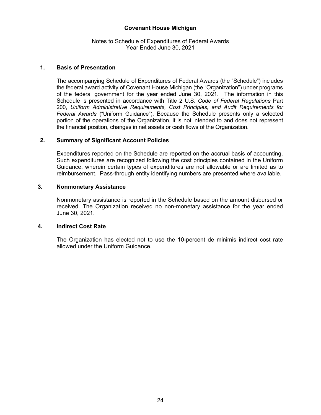#### Notes to Schedule of Expenditures of Federal Awards Year Ended June 30, 2021

#### **1. Basis of Presentation**

The accompanying Schedule of Expenditures of Federal Awards (the "Schedule") includes the federal award activity of Covenant House Michigan (the "Organization") under programs of the federal government for the year ended June 30, 2021. The information in this Schedule is presented in accordance with Title 2 U.S. *Code of Federal Regulations* Part 200, *Uniform Administrative Requirements, Cost Principles, and Audit Requirements for Federal Awards* ("Uniform Guidance"). Because the Schedule presents only a selected portion of the operations of the Organization, it is not intended to and does not represent the financial position, changes in net assets or cash flows of the Organization.

## **2. Summary of Significant Account Policies**

Expenditures reported on the Schedule are reported on the accrual basis of accounting. Such expenditures are recognized following the cost principles contained in the Uniform Guidance, wherein certain types of expenditures are not allowable or are limited as to reimbursement. Pass-through entity identifying numbers are presented where available.

#### **3. Nonmonetary Assistance**

Nonmonetary assistance is reported in the Schedule based on the amount disbursed or received. The Organization received no non-monetary assistance for the year ended June 30, 2021.

#### **4. Indirect Cost Rate**

The Organization has elected not to use the 10-percent de minimis indirect cost rate allowed under the Uniform Guidance.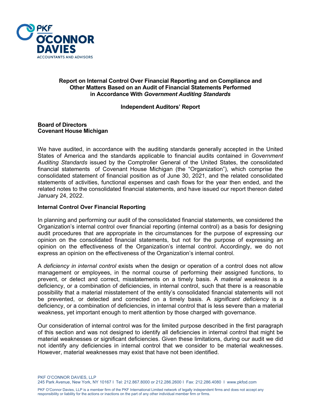

# **Report on Internal Control Over Financial Reporting and on Compliance and Other Matters Based on an Audit of Financial Statements Performed in Accordance With** *Government Auditing Standards*

#### **Independent Auditors' Report**

#### **Board of Directors Covenant House Michigan**

We have audited, in accordance with the auditing standards generally accepted in the United States of America and the standards applicable to financial audits contained in *Government Auditing Standards* issued by the Comptroller General of the United States, the consolidated financial statements of Covenant House Michigan (the "Organization"), which comprise the consolidated statement of financial position as of June 30, 2021, and the related consolidated statements of activities, functional expenses and cash flows for the year then ended, and the related notes to the consolidated financial statements, and have issued our report thereon dated January 24, 2022.

# **Internal Control Over Financial Reporting**

In planning and performing our audit of the consolidated financial statements, we considered the Organization's internal control over financial reporting (internal control) as a basis for designing audit procedures that are appropriate in the circumstances for the purpose of expressing our opinion on the consolidated financial statements, but not for the purpose of expressing an opinion on the effectiveness of the Organization's internal control. Accordingly, we do not express an opinion on the effectiveness of the Organization's internal control.

A *deficiency in internal control* exists when the design or operation of a control does not allow management or employees, in the normal course of performing their assigned functions, to prevent, or detect and correct, misstatements on a timely basis. A *material weakness* is a deficiency, or a combination of deficiencies, in internal control, such that there is a reasonable possibility that a material misstatement of the entity's consolidated financial statements will not be prevented, or detected and corrected on a timely basis. A *significant deficiency* is a deficiency, or a combination of deficiencies, in internal control that is less severe than a material weakness, yet important enough to merit attention by those charged with governance.

Our consideration of internal control was for the limited purpose described in the first paragraph of this section and was not designed to identify all deficiencies in internal control that might be material weaknesses or significant deficiencies. Given these limitations, during our audit we did not identify any deficiencies in internal control that we consider to be material weaknesses. However, material weaknesses may exist that have not been identified.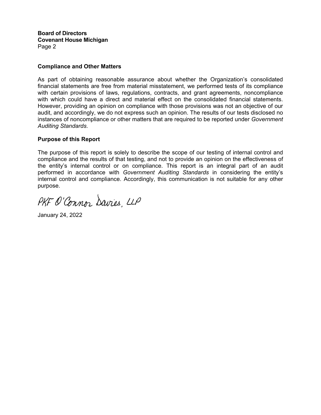**Board of Directors Covenant House Michigan**  Page 2

#### **Compliance and Other Matters**

As part of obtaining reasonable assurance about whether the Organization's consolidated financial statements are free from material misstatement, we performed tests of its compliance with certain provisions of laws, regulations, contracts, and grant agreements, noncompliance with which could have a direct and material effect on the consolidated financial statements. However, providing an opinion on compliance with those provisions was not an objective of our audit, and accordingly, we do not express such an opinion. The results of our tests disclosed no instances of noncompliance or other matters that are required to be reported under *Government Auditing Standards*.

#### **Purpose of this Report**

The purpose of this report is solely to describe the scope of our testing of internal control and compliance and the results of that testing, and not to provide an opinion on the effectiveness of the entity's internal control or on compliance. This report is an integral part of an audit performed in accordance with *Government Auditing Standards* in considering the entity's internal control and compliance. Accordingly, this communication is not suitable for any other purpose.

PKF O'Connor Davies, LLP

January 24, 2022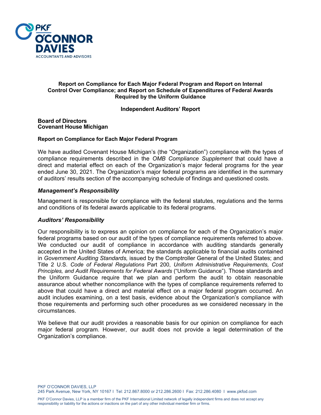

#### **Report on Compliance for Each Major Federal Program and Report on Internal Control Over Compliance; and Report on Schedule of Expenditures of Federal Awards Required by the Uniform Guidance**

#### **Independent Auditors' Report**

#### **Board of Directors Covenant House Michigan**

#### **Report on Compliance for Each Major Federal Program**

We have audited Covenant House Michigan's (the "Organization") compliance with the types of compliance requirements described in the *OMB Compliance Supplement* that could have a direct and material effect on each of the Organization's major federal programs for the year ended June 30, 2021. The Organization's major federal programs are identified in the summary of auditors' results section of the accompanying schedule of findings and questioned costs.

#### *Management's Responsibility*

Management is responsible for compliance with the federal statutes, regulations and the terms and conditions of its federal awards applicable to its federal programs.

#### *Auditors' Responsibility*

Our responsibility is to express an opinion on compliance for each of the Organization's major federal programs based on our audit of the types of compliance requirements referred to above. We conducted our audit of compliance in accordance with auditing standards generally accepted in the United States of America; the standards applicable to financial audits contained in *Government Auditing Standards,* issued by the Comptroller General of the United States; and Title 2 U.S. *Code of Federal Regulations* Part 200, *Uniform Administrative Requirements, Cost Principles, and Audit Requirements for Federal Awards* ("Uniform Guidance")*.* Those standards and the Uniform Guidance require that we plan and perform the audit to obtain reasonable assurance about whether noncompliance with the types of compliance requirements referred to above that could have a direct and material effect on a major federal program occurred. An audit includes examining, on a test basis, evidence about the Organization's compliance with those requirements and performing such other procedures as we considered necessary in the circumstances.

We believe that our audit provides a reasonable basis for our opinion on compliance for each major federal program. However, our audit does not provide a legal determination of the Organization's compliance.

PKF O'CONNOR DAVIES, LLP 245 Park Avenue, New York, NY 10167 I Tel: 212.867.8000 or 212.286.2600 I Fax: 212.286.4080 I www.pkfod.com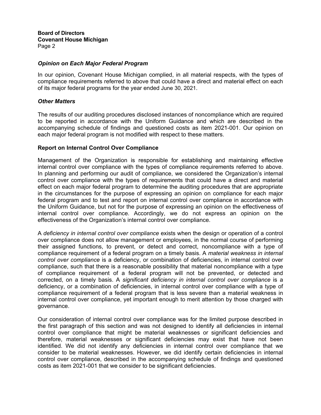#### *Opinion on Each Major Federal Program*

In our opinion, Covenant House Michigan complied, in all material respects, with the types of compliance requirements referred to above that could have a direct and material effect on each of its major federal programs for the year ended June 30, 2021.

## *Other Matters*

The results of our auditing procedures disclosed instances of noncompliance which are required to be reported in accordance with the Uniform Guidance and which are described in the accompanying schedule of findings and questioned costs as item 2021-001. Our opinion on each major federal program is not modified with respect to these matters.

#### **Report on Internal Control Over Compliance**

Management of the Organization is responsible for establishing and maintaining effective internal control over compliance with the types of compliance requirements referred to above. In planning and performing our audit of compliance, we considered the Organization's internal control over compliance with the types of requirements that could have a direct and material effect on each major federal program to determine the auditing procedures that are appropriate in the circumstances for the purpose of expressing an opinion on compliance for each major federal program and to test and report on internal control over compliance in accordance with the Uniform Guidance, but not for the purpose of expressing an opinion on the effectiveness of internal control over compliance. Accordingly, we do not express an opinion on the effectiveness of the Organization's internal control over compliance.

A *deficiency in internal control over compliance* exists when the design or operation of a control over compliance does not allow management or employees, in the normal course of performing their assigned functions, to prevent, or detect and correct, noncompliance with a type of compliance requirement of a federal program on a timely basis. A *material weakness in internal control over compliance* is a deficiency, or combination of deficiencies, in internal control over compliance, such that there is a reasonable possibility that material noncompliance with a type of compliance requirement of a federal program will not be prevented, or detected and corrected, on a timely basis. A *significant deficiency in internal control over compliance* is a deficiency, or a combination of deficiencies, in internal control over compliance with a type of compliance requirement of a federal program that is less severe than a material weakness in internal control over compliance, yet important enough to merit attention by those charged with governance.

Our consideration of internal control over compliance was for the limited purpose described in the first paragraph of this section and was not designed to identify all deficiencies in internal control over compliance that might be material weaknesses or significant deficiencies and therefore, material weaknesses or significant deficiencies may exist that have not been identified. We did not identify any deficiencies in internal control over compliance that we consider to be material weaknesses. However, we did identify certain deficiencies in internal control over compliance, described in the accompanying schedule of findings and questioned costs as item 2021-001 that we consider to be significant deficiencies.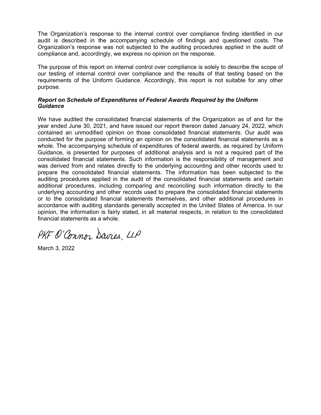The Organization's response to the internal control over compliance finding identified in our audit is described in the accompanying schedule of findings and questioned costs. The Organization's response was not subjected to the auditing procedures applied in the audit of compliance and, accordingly, we express no opinion on the response.

The purpose of this report on internal control over compliance is solely to describe the scope of our testing of internal control over compliance and the results of that testing based on the requirements of the Uniform Guidance. Accordingly, this report is not suitable for any other purpose.

# *Report on Schedule of Expenditures of Federal Awards Required by the Uniform Guidance*

We have audited the consolidated financial statements of the Organization as of and for the year ended June 30, 2021, and have issued our report thereon dated January 24, 2022, which contained an unmodified opinion on those consolidated financial statements. Our audit was conducted for the purpose of forming an opinion on the consolidated financial statements as a whole. The accompanying schedule of expenditures of federal awards, as required by Uniform Guidance, is presented for purposes of additional analysis and is not a required part of the consolidated financial statements. Such information is the responsibility of management and was derived from and relates directly to the underlying accounting and other records used to prepare the consolidated financial statements. The information has been subjected to the auditing procedures applied in the audit of the consolidated financial statements and certain additional procedures, including comparing and reconciling such information directly to the underlying accounting and other records used to prepare the consolidated financial statements or to the consolidated financial statements themselves, and other additional procedures in accordance with auditing standards generally accepted in the United States of America. In our opinion, the information is fairly stated, in all material respects, in relation to the consolidated financial statements as a whole.

PKF O'Connor Davies, LLP

March 3, 2022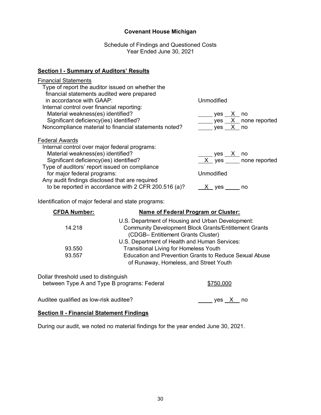Schedule of Findings and Questioned Costs Year Ended June 30, 2021

# **Section I - Summary of Auditors' Results**

| <b>Financial Statements</b>                           |                             |
|-------------------------------------------------------|-----------------------------|
| Type of report the auditor issued on whether the      |                             |
| financial statements audited were prepared            |                             |
| in accordance with GAAP:                              | Unmodified                  |
| Internal control over financial reporting:            |                             |
| Material weakness(es) identified?                     | _____ yes __X_ no           |
| Significant deficiency(ies) identified?               | yes X none reported         |
| Noncompliance material to financial statements noted? | $yes$ X no                  |
| <b>Federal Awards</b>                                 |                             |
| Internal control over major federal programs:         |                             |
| Material weakness(es) identified?                     | _____ yes __ <u>X__</u> no  |
| Significant deficiency(ies) identified?               | X yes none reported         |
| Type of auditors' report issued on compliance         |                             |
| for major federal programs:                           | Unmodified                  |
| Any audit findings disclosed that are required        |                             |
| to be reported in accordance with 2 CFR 200.516 (a)?  | $X$ yes $\frac{X}{Y}$<br>no |

Identification of major federal and state programs:

| <b>CFDA Number:</b> | <b>Name of Federal Program or Cluster:</b>                                                                                                                                                                |
|---------------------|-----------------------------------------------------------------------------------------------------------------------------------------------------------------------------------------------------------|
| 14.218              | U.S. Department of Housing and Urban Development:<br><b>Community Development Block Grants/Entitlement Grants</b><br>(CDGB-Entitlement Grants Cluster)                                                    |
| 93.550<br>93.557    | U.S. Department of Health and Human Services:<br><b>Transitional Living for Homeless Youth</b><br><b>Education and Prevention Grants to Reduce Sexual Abuse</b><br>of Runaway, Homeless, and Street Youth |

| Dollar threshold used to distinguish<br>between Type A and Type B programs: Federal | \$750,000       |
|-------------------------------------------------------------------------------------|-----------------|
| Auditee qualified as low-risk auditee?                                              | yes <u>X</u> no |

# **Section II - Financial Statement Findings**

During our audit, we noted no material findings for the year ended June 30, 2021.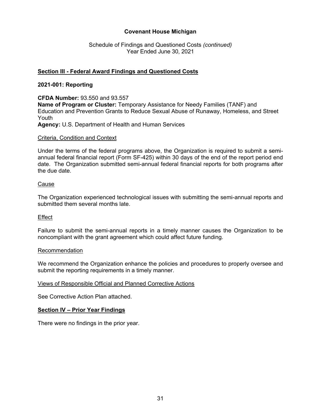# Schedule of Findings and Questioned Costs *(continued)*  Year Ended June 30, 2021

# **Section III - Federal Award Findings and Questioned Costs**

# **2021-001: Reporting**

#### **CFDA Number:** 93.550 and 93.557

**Name of Program or Cluster:** Temporary Assistance for Needy Families (TANF) and Education and Prevention Grants to Reduce Sexual Abuse of Runaway, Homeless, and Street Youth

**Agency:** U.S. Department of Health and Human Services

## Criteria, Condition and Context

Under the terms of the federal programs above, the Organization is required to submit a semiannual federal financial report (Form SF-425) within 30 days of the end of the report period end date. The Organization submitted semi-annual federal financial reports for both programs after the due date.

## Cause

The Organization experienced technological issues with submitting the semi-annual reports and submitted them several months late.

#### **Effect**

Failure to submit the semi-annual reports in a timely manner causes the Organization to be noncompliant with the grant agreement which could affect future funding.

#### Recommendation

We recommend the Organization enhance the policies and procedures to properly oversee and submit the reporting requirements in a timely manner.

#### Views of Responsible Official and Planned Corrective Actions

See Corrective Action Plan attached.

#### **Section IV – Prior Year Findings**

There were no findings in the prior year.